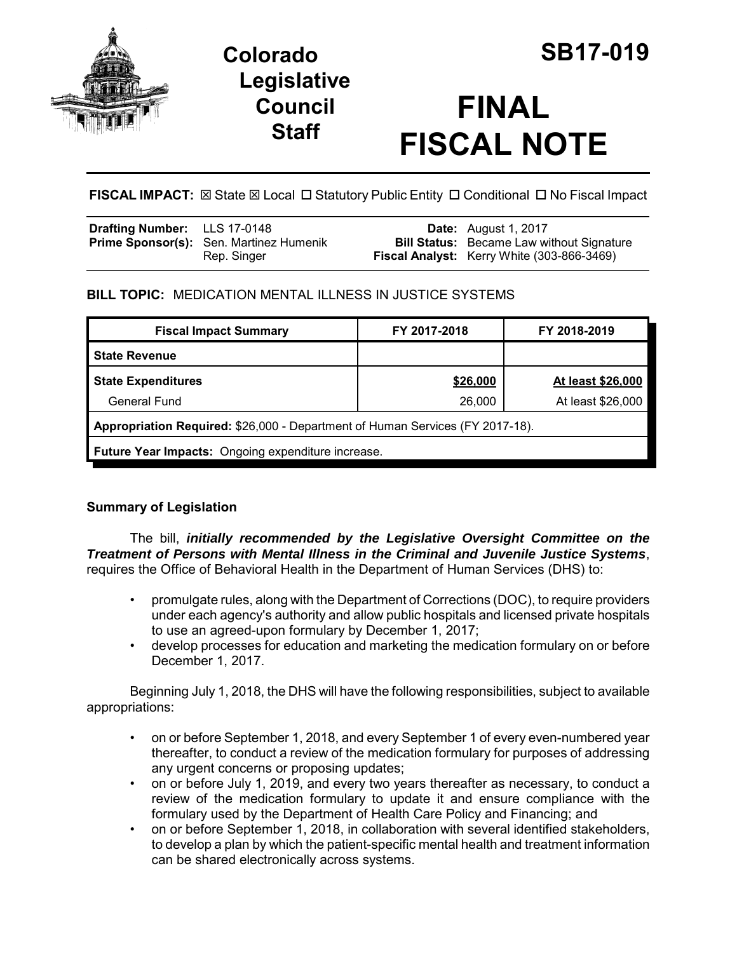

# **Colorado SB17-019 Legislative Council Staff**

# **FINAL FISCAL NOTE**

**FISCAL IMPACT:**  $\boxtimes$  **State**  $\boxtimes$  **Local □ Statutory Public Entity □ Conditional □ No Fiscal Impact** 

| <b>Drafting Number:</b> LLS 17-0148 |                                                               | <b>Date:</b> August 1, 2017                                                                    |
|-------------------------------------|---------------------------------------------------------------|------------------------------------------------------------------------------------------------|
|                                     | <b>Prime Sponsor(s):</b> Sen. Martinez Humenik<br>Rep. Singer | <b>Bill Status:</b> Became Law without Signature<br>Fiscal Analyst: Kerry White (303-866-3469) |

## **BILL TOPIC:** MEDICATION MENTAL ILLNESS IN JUSTICE SYSTEMS

| <b>Fiscal Impact Summary</b>                                                  | FY 2017-2018 | FY 2018-2019      |  |  |  |
|-------------------------------------------------------------------------------|--------------|-------------------|--|--|--|
| <b>State Revenue</b>                                                          |              |                   |  |  |  |
| <b>State Expenditures</b>                                                     | \$26,000     | At least \$26,000 |  |  |  |
| General Fund                                                                  | 26,000       | At least \$26,000 |  |  |  |
| Appropriation Required: \$26,000 - Department of Human Services (FY 2017-18). |              |                   |  |  |  |
| Future Year Impacts: Ongoing expenditure increase.                            |              |                   |  |  |  |

### **Summary of Legislation**

The bill, *initially recommended by the Legislative Oversight Committee on the Treatment of Persons with Mental Illness in the Criminal and Juvenile Justice Systems*, requires the Office of Behavioral Health in the Department of Human Services (DHS) to:

- promulgate rules, along with the Department of Corrections (DOC), to require providers under each agency's authority and allow public hospitals and licensed private hospitals to use an agreed-upon formulary by December 1, 2017;
- develop processes for education and marketing the medication formulary on or before December 1, 2017.

Beginning July 1, 2018, the DHS will have the following responsibilities, subject to available appropriations:

- on or before September 1, 2018, and every September 1 of every even-numbered year thereafter, to conduct a review of the medication formulary for purposes of addressing any urgent concerns or proposing updates;
- on or before July 1, 2019, and every two years thereafter as necessary, to conduct a review of the medication formulary to update it and ensure compliance with the formulary used by the Department of Health Care Policy and Financing; and
- on or before September 1, 2018, in collaboration with several identified stakeholders, to develop a plan by which the patient-specific mental health and treatment information can be shared electronically across systems.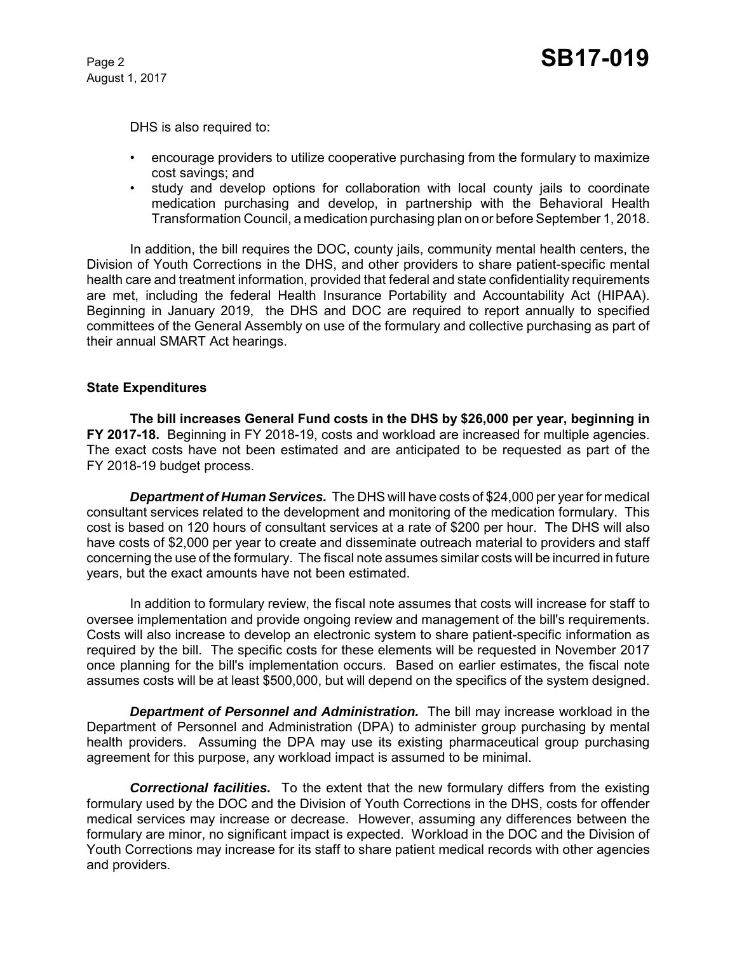August 1, 2017

DHS is also required to:

- encourage providers to utilize cooperative purchasing from the formulary to maximize cost savings; and
- study and develop options for collaboration with local county jails to coordinate medication purchasing and develop, in partnership with the Behavioral Health Transformation Council, a medication purchasing plan on or before September 1, 2018.

In addition, the bill requires the DOC, county jails, community mental health centers, the Division of Youth Corrections in the DHS, and other providers to share patient-specific mental health care and treatment information, provided that federal and state confidentiality requirements are met, including the federal Health Insurance Portability and Accountability Act (HIPAA). Beginning in January 2019, the DHS and DOC are required to report annually to specified committees of the General Assembly on use of the formulary and collective purchasing as part of their annual SMART Act hearings.

#### **State Expenditures**

**The bill increases General Fund costs in the DHS by \$26,000 per year, beginning in FY 2017-18.** Beginning in FY 2018-19, costs and workload are increased for multiple agencies. The exact costs have not been estimated and are anticipated to be requested as part of the FY 2018-19 budget process.

*Department of Human Services.* The DHS will have costs of \$24,000 per year for medical consultant services related to the development and monitoring of the medication formulary. This cost is based on 120 hours of consultant services at a rate of \$200 per hour. The DHS will also have costs of \$2,000 per year to create and disseminate outreach material to providers and staff concerning the use of the formulary. The fiscal note assumes similar costs will be incurred in future years, but the exact amounts have not been estimated.

In addition to formulary review, the fiscal note assumes that costs will increase for staff to oversee implementation and provide ongoing review and management of the bill's requirements. Costs will also increase to develop an electronic system to share patient-specific information as required by the bill. The specific costs for these elements will be requested in November 2017 once planning for the bill's implementation occurs. Based on earlier estimates, the fiscal note assumes costs will be at least \$500,000, but will depend on the specifics of the system designed.

*Department of Personnel and Administration.* The bill may increase workload in the Department of Personnel and Administration (DPA) to administer group purchasing by mental health providers. Assuming the DPA may use its existing pharmaceutical group purchasing agreement for this purpose, any workload impact is assumed to be minimal.

*Correctional facilities.* To the extent that the new formulary differs from the existing formulary used by the DOC and the Division of Youth Corrections in the DHS, costs for offender medical services may increase or decrease. However, assuming any differences between the formulary are minor, no significant impact is expected. Workload in the DOC and the Division of Youth Corrections may increase for its staff to share patient medical records with other agencies and providers.